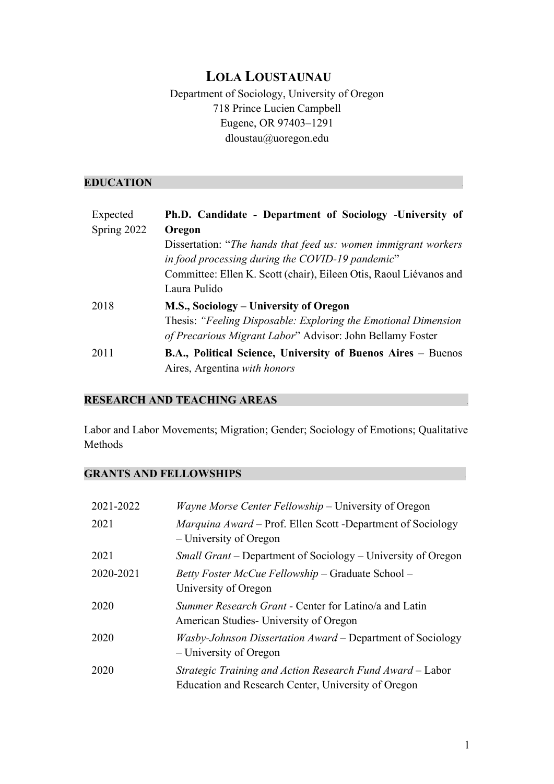# **LOLA LOUSTAUNAU**

# Department of Sociology, University of Oregon 718 Prince Lucien Campbell Eugene, OR 97403–1291 dloustau@uoregon.edu

### **EDUCATION** .

| Expected    | Ph.D. Candidate - Department of Sociology -University of            |
|-------------|---------------------------------------------------------------------|
| Spring 2022 | Oregon                                                              |
|             | Dissertation: "The hands that feed us: women immigrant workers"     |
|             | in food processing during the COVID-19 pandemic"                    |
|             | Committee: Ellen K. Scott (chair), Eileen Otis, Raoul Liévanos and  |
|             | Laura Pulido                                                        |
| 2018        | M.S., Sociology – University of Oregon                              |
|             | Thesis: "Feeling Disposable: Exploring the Emotional Dimension      |
|             | of Precarious Migrant Labor" Advisor: John Bellamy Foster           |
| 2011        | <b>B.A., Political Science, University of Buenos Aires – Buenos</b> |
|             | Aires, Argentina with honors                                        |

# **RESEARCH AND TEACHING AREAS** .

Labor and Labor Movements; Migration; Gender; Sociology of Emotions; Qualitative Methods

### **GRANTS AND FELLOWSHIPS** .

| 2021-2022 | <i>Wayne Morse Center Fellowship</i> – University of Oregon                                                      |
|-----------|------------------------------------------------------------------------------------------------------------------|
| 2021      | <i>Marquina Award</i> – Prof. Ellen Scott -Department of Sociology<br>– University of Oregon                     |
| 2021      | <i>Small Grant</i> – Department of Sociology – University of Oregon                                              |
| 2020-2021 | Betty Foster McCue Fellowship – Graduate School –<br>University of Oregon                                        |
| 2020      | Summer Research Grant - Center for Latino/a and Latin<br>American Studies - University of Oregon                 |
| 2020      | Wasby-Johnson Dissertation Award – Department of Sociology<br>– University of Oregon                             |
| 2020      | Strategic Training and Action Research Fund Award - Labor<br>Education and Research Center, University of Oregon |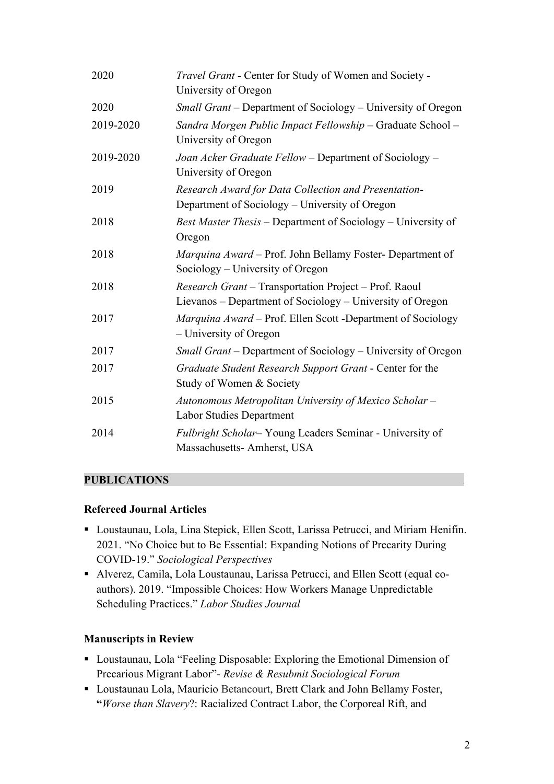| 2020      | Travel Grant - Center for Study of Women and Society -<br>University of Oregon                                     |
|-----------|--------------------------------------------------------------------------------------------------------------------|
| 2020      | Small Grant – Department of Sociology – University of Oregon                                                       |
| 2019-2020 | Sandra Morgen Public Impact Fellowship - Graduate School -<br>University of Oregon                                 |
| 2019-2020 | Joan Acker Graduate Fellow - Department of Sociology -<br>University of Oregon                                     |
| 2019      | Research Award for Data Collection and Presentation-<br>Department of Sociology - University of Oregon             |
| 2018      | Best Master Thesis – Department of Sociology – University of<br>Oregon                                             |
| 2018      | Marquina Award - Prof. John Bellamy Foster- Department of<br>Sociology – University of Oregon                      |
| 2018      | Research Grant - Transportation Project - Prof. Raoul<br>Lievanos - Department of Sociology - University of Oregon |
| 2017      | Marquina Award - Prof. Ellen Scott - Department of Sociology<br>– University of Oregon                             |
| 2017      | Small Grant – Department of Sociology – University of Oregon                                                       |
| 2017      | Graduate Student Research Support Grant - Center for the<br>Study of Women & Society                               |
| 2015      | Autonomous Metropolitan University of Mexico Scholar -<br><b>Labor Studies Department</b>                          |
| 2014      | Fulbright Scholar-Young Leaders Seminar - University of<br>Massachusetts- Amherst, USA                             |

### **PUBLICATIONS** .

### **Refereed Journal Articles**

- Loustaunau, Lola, Lina Stepick, Ellen Scott, Larissa Petrucci, and Miriam Henifin. 2021. "No Choice but to Be Essential: Expanding Notions of Precarity During COVID-19." *Sociological Perspectives*
- § Alverez, Camila, Lola Loustaunau, Larissa Petrucci, and Ellen Scott (equal coauthors). 2019. "Impossible Choices: How Workers Manage Unpredictable Scheduling Practices." *Labor Studies Journal*

### **Manuscripts in Review**

- Loustaunau, Lola "Feeling Disposable: Exploring the Emotional Dimension of Precarious Migrant Labor"- *Revise & Resubmit Sociological Forum*
- Loustaunau Lola, Mauricio Betancourt, Brett Clark and John Bellamy Foster, **"***Worse than Slavery*?: Racialized Contract Labor, the Corporeal Rift, and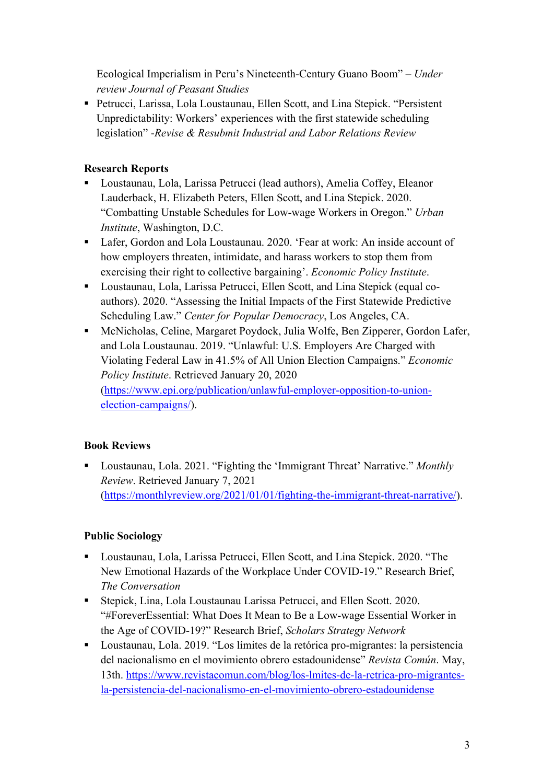Ecological Imperialism in Peru's Nineteenth-Century Guano Boom" – *Under review Journal of Peasant Studies*

■ Petrucci, Larissa, Lola Loustaunau, Ellen Scott, and Lina Stepick. "Persistent Unpredictability: Workers' experiences with the first statewide scheduling legislation" -*Revise & Resubmit Industrial and Labor Relations Review*

### **Research Reports**

- Loustaunau, Lola, Larissa Petrucci (lead authors), Amelia Coffey, Eleanor Lauderback, H. Elizabeth Peters, Ellen Scott, and Lina Stepick. 2020. "Combatting Unstable Schedules for Low-wage Workers in Oregon." *Urban Institute*, Washington, D.C.
- Lafer, Gordon and Lola Loustaunau. 2020. 'Fear at work: An inside account of how employers threaten, intimidate, and harass workers to stop them from exercising their right to collective bargaining'. *Economic Policy Institute*.
- Loustaunau, Lola, Larissa Petrucci, Ellen Scott, and Lina Stepick (equal coauthors). 2020. "Assessing the Initial Impacts of the First Statewide Predictive Scheduling Law." *Center for Popular Democracy*, Los Angeles, CA.
- McNicholas, Celine, Margaret Poydock, Julia Wolfe, Ben Zipperer, Gordon Lafer, and Lola Loustaunau. 2019. "Unlawful: U.S. Employers Are Charged with Violating Federal Law in 41.5% of All Union Election Campaigns." *Economic Policy Institute*. Retrieved January 20, 2020 (https://www.epi.org/publication/unlawful-employer-opposition-to-unionelection-campaigns/).

# **Book Reviews**

■ Loustaunau, Lola. 2021. "Fighting the 'Immigrant Threat' Narrative." *Monthly Review*. Retrieved January 7, 2021 (https://monthlyreview.org/2021/01/01/fighting-the-immigrant-threat-narrative/).

# **Public Sociology**

- § Loustaunau, Lola, Larissa Petrucci, Ellen Scott, and Lina Stepick. 2020. "The New Emotional Hazards of the Workplace Under COVID-19." Research Brief, *The Conversation*
- Stepick, Lina, Lola Loustaunau Larissa Petrucci, and Ellen Scott. 2020. "#ForeverEssential: What Does It Mean to Be a Low-wage Essential Worker in the Age of COVID-19?" Research Brief, *Scholars Strategy Network*
- Loustaunau, Lola. 2019. "Los límites de la retórica pro-migrantes: la persistencia del nacionalismo en el movimiento obrero estadounidense" *Revista Común*. May, 13th. https://www.revistacomun.com/blog/los-lmites-de-la-retrica-pro-migrantesla-persistencia-del-nacionalismo-en-el-movimiento-obrero-estadounidense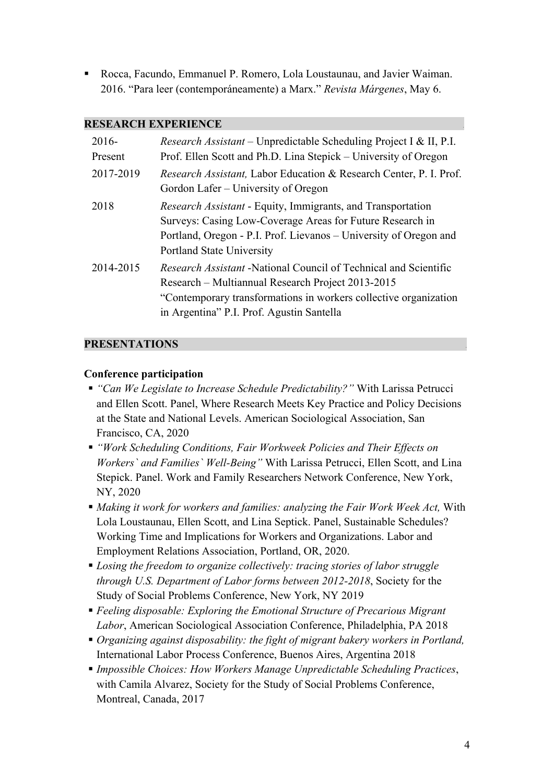■ Rocca, Facundo, Emmanuel P. Romero, Lola Loustaunau, and Javier Waiman. 2016. "Para leer (contemporáneamente) a Marx." *Revista Márgenes*, May 6.

#### **RESEARCH EXPERIENCE** *.*

| $2016-$<br>Present | <i>Research Assistant</i> – Unpredictable Scheduling Project I & II, P.I.<br>Prof. Ellen Scott and Ph.D. Lina Stepick – University of Oregon                                                                                                  |
|--------------------|-----------------------------------------------------------------------------------------------------------------------------------------------------------------------------------------------------------------------------------------------|
| 2017-2019          | <i>Research Assistant</i> , Labor Education & Research Center, P. I. Prof.<br>Gordon Lafer – University of Oregon                                                                                                                             |
| 2018               | <i>Research Assistant</i> - Equity, Immigrants, and Transportation<br>Surveys: Casing Low-Coverage Areas for Future Research in<br>Portland, Oregon - P.I. Prof. Lievanos – University of Oregon and<br>Portland State University             |
| 2014-2015          | <i>Research Assistant</i> -National Council of Technical and Scientific<br>Research – Multiannual Research Project 2013-2015<br>"Contemporary transformations in workers collective organization<br>in Argentina" P.I. Prof. Agustin Santella |

### **PRESENTATIONS** .

#### **Conference participation**

- § *"Can We Legislate to Increase Schedule Predictability?"* With Larissa Petrucci and Ellen Scott. Panel, Where Research Meets Key Practice and Policy Decisions at the State and National Levels. American Sociological Association, San Francisco, CA, 2020
- § *"Work Scheduling Conditions, Fair Workweek Policies and Their Effects on Workers` and Families` Well-Being"* With Larissa Petrucci, Ellen Scott, and Lina Stepick. Panel. Work and Family Researchers Network Conference, New York, NY, 2020
- § *Making it work for workers and families: analyzing the Fair Work Week Act,* With Lola Loustaunau, Ellen Scott, and Lina Septick. Panel, Sustainable Schedules? Working Time and Implications for Workers and Organizations. Labor and Employment Relations Association, Portland, OR, 2020.
- *Losing the freedom to organize collectively: tracing stories of labor struggle through U.S. Department of Labor forms between 2012-2018*, Society for the Study of Social Problems Conference, New York, NY 2019
- § *Feeling disposable: Exploring the Emotional Structure of Precarious Migrant Labor*, American Sociological Association Conference, Philadelphia, PA 2018
- § *Organizing against disposability: the fight of migrant bakery workers in Portland,*  International Labor Process Conference, Buenos Aires, Argentina 2018
- § *Impossible Choices: How Workers Manage Unpredictable Scheduling Practices*, with Camila Alvarez, Society for the Study of Social Problems Conference, Montreal, Canada, 2017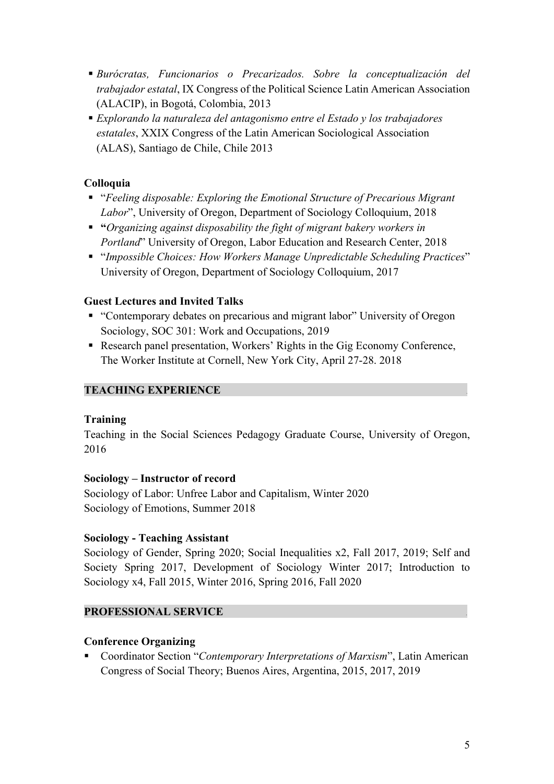- § *Burócratas, Funcionarios o Precarizados. Sobre la conceptualización del trabajador estatal*, IX Congress of the Political Science Latin American Association (ALACIP), in Bogotá, Colombia, 2013
- § *Explorando la naturaleza del antagonismo entre el Estado y los trabajadores estatales*, XXIX Congress of the Latin American Sociological Association (ALAS), Santiago de Chile, Chile 2013

### **Colloquia**

- § "*Feeling disposable: Exploring the Emotional Structure of Precarious Migrant Labor*", University of Oregon, Department of Sociology Colloquium, 2018
- § **"***Organizing against disposability the fight of migrant bakery workers in Portland*" University of Oregon, Labor Education and Research Center, 2018
- § "*Impossible Choices: How Workers Manage Unpredictable Scheduling Practices*" University of Oregon, Department of Sociology Colloquium, 2017

### **Guest Lectures and Invited Talks**

- "Contemporary debates on precarious and migrant labor" University of Oregon Sociology, SOC 301: Work and Occupations, 2019
- Research panel presentation, Workers' Rights in the Gig Economy Conference, The Worker Institute at Cornell, New York City, April 27-28. 2018

### **TEACHING EXPERIENCE** .

### **Training**

Teaching in the Social Sciences Pedagogy Graduate Course, University of Oregon, 2016

### **Sociology – Instructor of record**

Sociology of Labor: Unfree Labor and Capitalism, Winter 2020 Sociology of Emotions, Summer 2018

### **Sociology - Teaching Assistant**

Sociology of Gender, Spring 2020; Social Inequalities x2, Fall 2017, 2019; Self and Society Spring 2017, Development of Sociology Winter 2017; Introduction to Sociology x4, Fall 2015, Winter 2016, Spring 2016, Fall 2020

### **PROFESSIONAL SERVICE** .

### **Conference Organizing**

§ Coordinator Section "*Contemporary Interpretations of Marxism*", Latin American Congress of Social Theory; Buenos Aires, Argentina, 2015, 2017, 2019